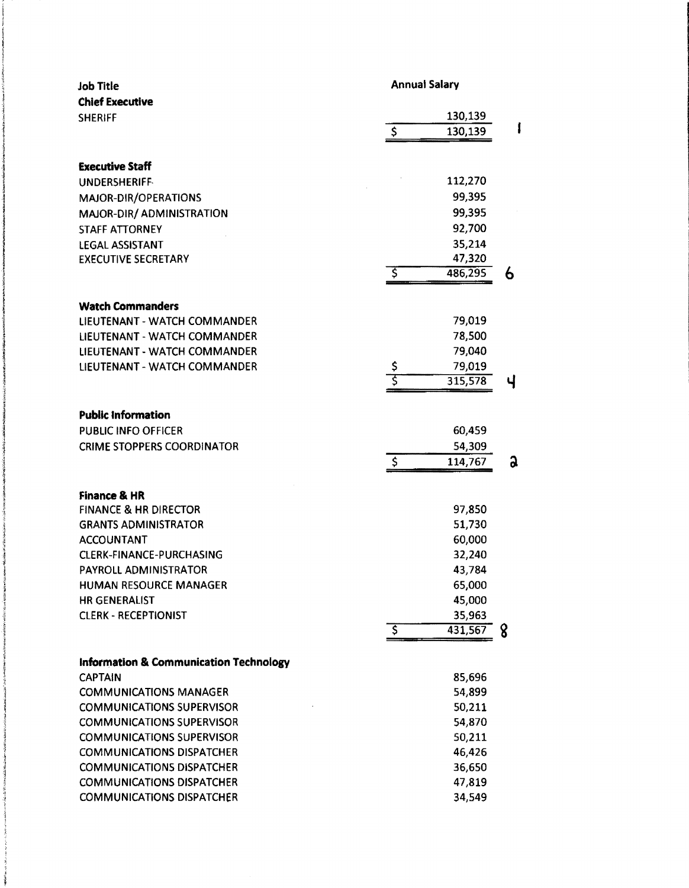|                        | <b>Annual Salary</b>                                               |                                                                                                                                                                                                                                                            |
|------------------------|--------------------------------------------------------------------|------------------------------------------------------------------------------------------------------------------------------------------------------------------------------------------------------------------------------------------------------------|
|                        |                                                                    |                                                                                                                                                                                                                                                            |
|                        |                                                                    |                                                                                                                                                                                                                                                            |
|                        |                                                                    |                                                                                                                                                                                                                                                            |
|                        |                                                                    |                                                                                                                                                                                                                                                            |
|                        |                                                                    |                                                                                                                                                                                                                                                            |
|                        |                                                                    |                                                                                                                                                                                                                                                            |
|                        |                                                                    |                                                                                                                                                                                                                                                            |
|                        |                                                                    |                                                                                                                                                                                                                                                            |
|                        |                                                                    |                                                                                                                                                                                                                                                            |
|                        |                                                                    |                                                                                                                                                                                                                                                            |
| \$                     | 486,295                                                            | 6                                                                                                                                                                                                                                                          |
|                        |                                                                    |                                                                                                                                                                                                                                                            |
|                        |                                                                    |                                                                                                                                                                                                                                                            |
|                        |                                                                    |                                                                                                                                                                                                                                                            |
|                        |                                                                    |                                                                                                                                                                                                                                                            |
|                        |                                                                    |                                                                                                                                                                                                                                                            |
|                        |                                                                    | Ч                                                                                                                                                                                                                                                          |
|                        |                                                                    |                                                                                                                                                                                                                                                            |
|                        |                                                                    |                                                                                                                                                                                                                                                            |
|                        | 60,459                                                             |                                                                                                                                                                                                                                                            |
|                        | 54,309                                                             |                                                                                                                                                                                                                                                            |
| $\ddot{\mathcal{S}}$   | 114,767                                                            | a                                                                                                                                                                                                                                                          |
|                        |                                                                    |                                                                                                                                                                                                                                                            |
|                        |                                                                    |                                                                                                                                                                                                                                                            |
|                        |                                                                    |                                                                                                                                                                                                                                                            |
|                        |                                                                    |                                                                                                                                                                                                                                                            |
|                        | 32,240                                                             |                                                                                                                                                                                                                                                            |
|                        | 43,784                                                             |                                                                                                                                                                                                                                                            |
|                        | 65,000                                                             |                                                                                                                                                                                                                                                            |
|                        | 45,000                                                             |                                                                                                                                                                                                                                                            |
|                        | 35,963                                                             |                                                                                                                                                                                                                                                            |
| $\overline{\varsigma}$ | 431,567                                                            | 8                                                                                                                                                                                                                                                          |
|                        |                                                                    |                                                                                                                                                                                                                                                            |
|                        |                                                                    |                                                                                                                                                                                                                                                            |
|                        |                                                                    |                                                                                                                                                                                                                                                            |
|                        |                                                                    |                                                                                                                                                                                                                                                            |
|                        |                                                                    |                                                                                                                                                                                                                                                            |
|                        |                                                                    |                                                                                                                                                                                                                                                            |
|                        |                                                                    |                                                                                                                                                                                                                                                            |
|                        |                                                                    |                                                                                                                                                                                                                                                            |
|                        |                                                                    |                                                                                                                                                                                                                                                            |
|                        |                                                                    |                                                                                                                                                                                                                                                            |
|                        | \$<br>\$<br>इ<br><b>Information &amp; Communication Technology</b> | 130,139<br>130,139<br>112,270<br>99,395<br>99,395<br>92,700<br>35,214<br>47,320<br>79,019<br>78,500<br>79,040<br>79,019<br>315,578<br>97,850<br>51,730<br>60,000<br>85,696<br>54,899<br>50,211<br>54,870<br>50,211<br>46,426<br>36,650<br>47,819<br>34,549 |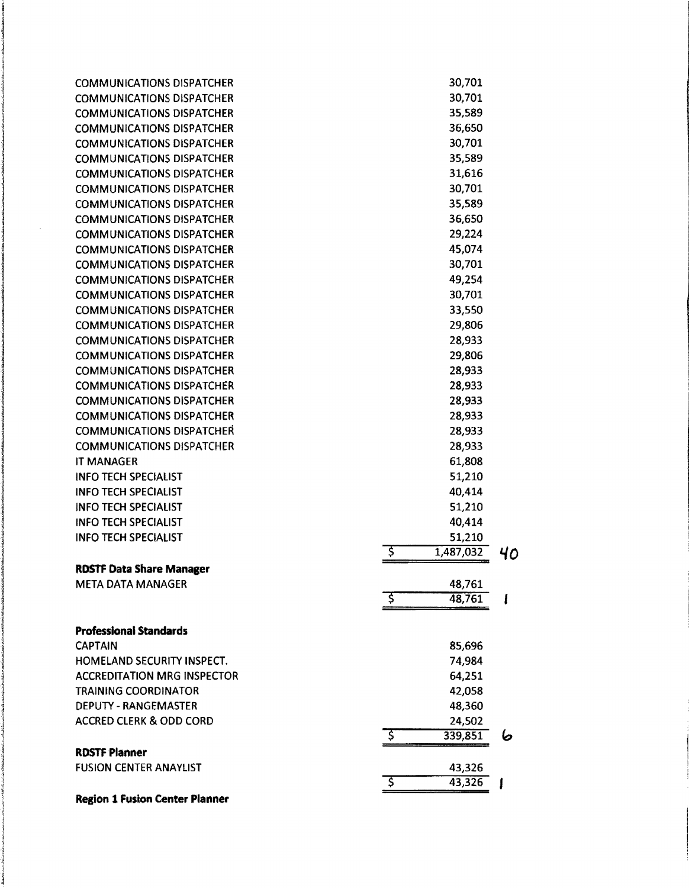| <b>COMMUNICATIONS DISPATCHER</b>      | 30,701           |    |
|---------------------------------------|------------------|----|
| <b>COMMUNICATIONS DISPATCHER</b>      | 30,701           |    |
| <b>COMMUNICATIONS DISPATCHER</b>      | 35,589           |    |
| <b>COMMUNICATIONS DISPATCHER</b>      | 36,650           |    |
| <b>COMMUNICATIONS DISPATCHER</b>      | 30,701           |    |
| <b>COMMUNICATIONS DISPATCHER</b>      | 35,589           |    |
| <b>COMMUNICATIONS DISPATCHER</b>      | 31,616           |    |
| <b>COMMUNICATIONS DISPATCHER</b>      | 30,701           |    |
| <b>COMMUNICATIONS DISPATCHER</b>      | 35,589           |    |
| <b>COMMUNICATIONS DISPATCHER</b>      | 36,650           |    |
| <b>COMMUNICATIONS DISPATCHER</b>      | 29,224           |    |
|                                       |                  |    |
| <b>COMMUNICATIONS DISPATCHER</b>      | 45,074           |    |
| <b>COMMUNICATIONS DISPATCHER</b>      | 30,701           |    |
| <b>COMMUNICATIONS DISPATCHER</b>      | 49,254           |    |
| <b>COMMUNICATIONS DISPATCHER</b>      | 30,701           |    |
| <b>COMMUNICATIONS DISPATCHER</b>      | 33,550           |    |
| <b>COMMUNICATIONS DISPATCHER</b>      | 29,806           |    |
| <b>COMMUNICATIONS DISPATCHER</b>      | 28,933           |    |
| <b>COMMUNICATIONS DISPATCHER</b>      | 29,806           |    |
| <b>COMMUNICATIONS DISPATCHER</b>      | 28,933           |    |
| <b>COMMUNICATIONS DISPATCHER</b>      | 28,933           |    |
| <b>COMMUNICATIONS DISPATCHER</b>      | 28,933           |    |
| <b>COMMUNICATIONS DISPATCHER</b>      | 28,933           |    |
| <b>COMMUNICATIONS DISPATCHER</b>      | 28,933           |    |
| <b>COMMUNICATIONS DISPATCHER</b>      | 28,933           |    |
| IT MANAGER                            | 61,808           |    |
| <b>INFO TECH SPECIALIST</b>           | 51,210           |    |
| <b>INFO TECH SPECIALIST</b>           | 40,414           |    |
| <b>INFO TECH SPECIALIST</b>           | 51,210           |    |
| <b>INFO TECH SPECIALIST</b>           | 40,414           |    |
| <b>INFO TECH SPECIALIST</b>           | 51,210           |    |
|                                       | Ş<br>1,487,032   | 40 |
| <b>RDSTF Data Share Manager</b>       |                  |    |
| <b>META DATA MANAGER</b>              |                  |    |
|                                       | 48,761<br>48,761 |    |
|                                       |                  |    |
| <b>Professional Standards</b>         |                  |    |
| <b>CAPTAIN</b>                        | 85,696           |    |
| HOMELAND SECURITY INSPECT.            | 74,984           |    |
| <b>ACCREDITATION MRG INSPECTOR</b>    | 64,251           |    |
| <b>TRAINING COORDINATOR</b>           | 42,058           |    |
| DEPUTY - RANGEMASTER                  | 48,360           |    |
| <b>ACCRED CLERK &amp; ODD CORD</b>    | 24,502           |    |
|                                       | 339,851<br>\$    |    |
|                                       |                  | 6  |
| <b>RDSTF Planner</b>                  |                  |    |
| <b>FUSION CENTER ANAYLIST</b>         | 43,326           |    |
|                                       | 43,326           |    |
| <b>Region 1 Fusion Center Planner</b> |                  |    |

**Incomediate** 

f<br>f<br>f<br>f<br>f<br>f<br>f<br>f<br>f<br>f<br>f<br>f<br>f<br>f<br>f<br>f diama.<br>K laineakana.<br>L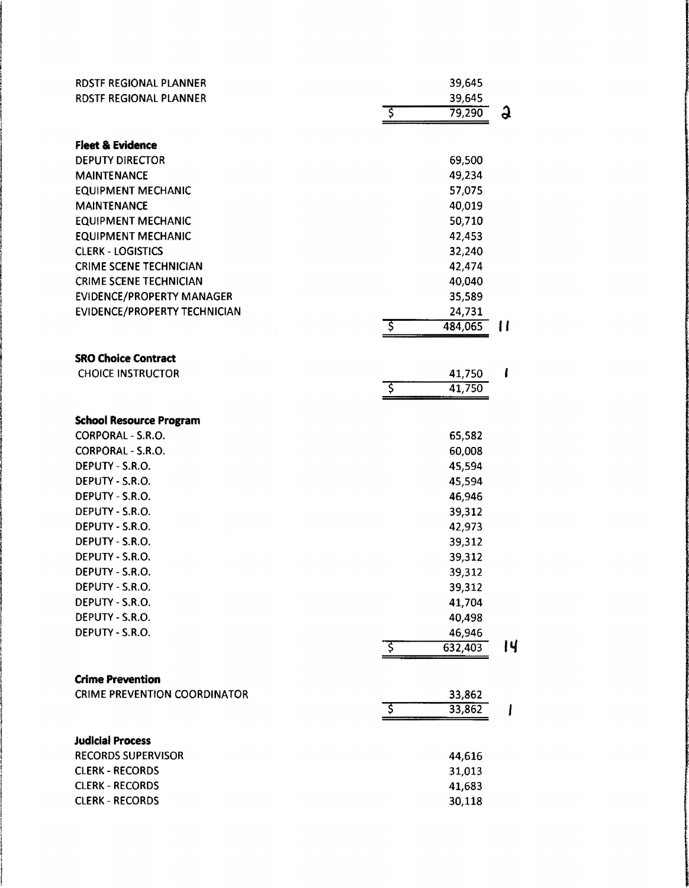| RDSTF REGIONAL PLANNER              |    | 39,645  |    |
|-------------------------------------|----|---------|----|
| RDSTF REGIONAL PLANNER              |    | 39,645  |    |
|                                     | ड़ | 79,290  | G  |
|                                     |    |         |    |
| <b>Fleet &amp; Evidence</b>         |    |         |    |
| <b>DEPUTY DIRECTOR</b>              |    | 69,500  |    |
| <b>MAINTENANCE</b>                  |    | 49,234  |    |
| <b>EQUIPMENT MECHANIC</b>           |    | 57,075  |    |
| <b>MAINTENANCE</b>                  |    | 40,019  |    |
| <b>EQUIPMENT MECHANIC</b>           |    | 50,710  |    |
| <b>EQUIPMENT MECHANIC</b>           |    | 42,453  |    |
| <b>CLERK - LOGISTICS</b>            |    | 32,240  |    |
| <b>CRIME SCENE TECHNICIAN</b>       |    | 42,474  |    |
| <b>CRIME SCENE TECHNICIAN</b>       |    | 40,040  |    |
| <b>EVIDENCE/PROPERTY MANAGER</b>    |    | 35,589  |    |
| EVIDENCE/PROPERTY TECHNICIAN        |    | 24,731  |    |
|                                     | ड़ | 484,065 | 11 |
|                                     |    |         |    |
| <b>SRO Choice Contract</b>          |    |         |    |
| <b>CHOICE INSTRUCTOR</b>            |    | 41,750  | l  |
|                                     | इ  | 41,750  |    |
|                                     |    |         |    |
| <b>School Resource Program</b>      |    |         |    |
| CORPORAL - S.R.O.                   |    | 65,582  |    |
| CORPORAL - S.R.O.                   |    | 60,008  |    |
| DEPUTY - S.R.O.                     |    | 45,594  |    |
| DEPUTY - S.R.O.                     |    | 45,594  |    |
| DEPUTY - S.R.O.                     |    | 46,946  |    |
| DEPUTY - S.R.O.                     |    | 39,312  |    |
| DEPUTY - S.R.O.                     |    | 42,973  |    |
| DEPUTY - S.R.O.                     |    | 39,312  |    |
| DEPUTY - S.R.O.                     |    | 39,312  |    |
| DEPUTY - S.R.O.                     |    | 39,312  |    |
| DEPUTY - S.R.O.                     |    | 39,312  |    |
| DEPUTY - S.R.O.                     |    | 41,704  |    |
| DEPUTY - S.R.O.                     |    | 40,498  |    |
| DEPUTY - S.R.O.                     |    | 46,946  |    |
|                                     | ड़ | 632,403 | IЧ |
|                                     |    |         |    |
| <b>Crime Prevention</b>             |    |         |    |
| <b>CRIME PREVENTION COORDINATOR</b> |    | 33,862  |    |
|                                     | ड़ | 33,862  |    |
| <b>Judicial Process</b>             |    |         |    |
| <b>RECORDS SUPERVISOR</b>           |    |         |    |
| <b>CLERK - RECORDS</b>              |    | 44,616  |    |
|                                     |    | 31,013  |    |
| <b>CLERK - RECORDS</b>              |    | 41,683  |    |
| <b>CLERK - RECORDS</b>              |    | 30,118  |    |

 $\frac{1}{2}$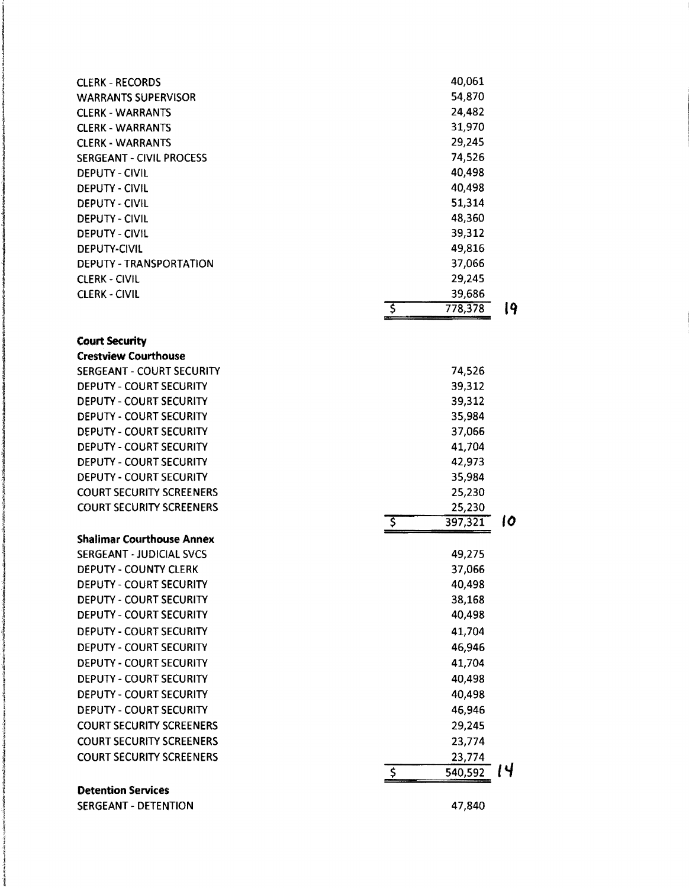| <b>CLERK - RECORDS</b>           | 40,061                          |    |
|----------------------------------|---------------------------------|----|
| <b>WARRANTS SUPERVISOR</b>       | 54,870                          |    |
| <b>CLERK - WARRANTS</b>          | 24,482                          |    |
| <b>CLERK - WARRANTS</b>          | 31,970                          |    |
| <b>CLERK - WARRANTS</b>          | 29,245                          |    |
| SERGEANT - CIVIL PROCESS         | 74,526                          |    |
| <b>DEPUTY - CIVIL</b>            | 40,498                          |    |
| <b>DEPUTY - CIVIL</b>            | 40,498                          |    |
| DEPUTY - CIVIL                   | 51,314                          |    |
| <b>DEPUTY - CIVIL</b>            | 48,360                          |    |
| <b>DEPUTY - CIVIL</b>            | 39,312                          |    |
| <b>DEPUTY-CIVIL</b>              | 49,816                          |    |
| DEPUTY - TRANSPORTATION          | 37,066                          |    |
| <b>CLERK - CIVIL</b>             | 29,245                          |    |
| <b>CLERK - CIVIL</b>             | 39,686                          |    |
|                                  | \$<br>778,378                   | 19 |
|                                  |                                 |    |
| <b>Court Security</b>            |                                 |    |
| <b>Crestview Courthouse</b>      |                                 |    |
| SERGEANT - COURT SECURITY        | 74,526                          |    |
| <b>DEPUTY - COURT SECURITY</b>   | 39,312                          |    |
| <b>DEPUTY - COURT SECURITY</b>   | 39,312                          |    |
| <b>DEPUTY - COURT SECURITY</b>   | 35,984                          |    |
| <b>DEPUTY - COURT SECURITY</b>   | 37,066                          |    |
| <b>DEPUTY - COURT SECURITY</b>   | 41,704                          |    |
| <b>DEPUTY - COURT SECURITY</b>   | 42,973                          |    |
| DEPUTY - COURT SECURITY          | 35,984                          |    |
| <b>COURT SECURITY SCREENERS</b>  | 25,230                          |    |
| <b>COURT SECURITY SCREENERS</b>  | 25,230                          |    |
|                                  | ड़<br>397,321                   | 10 |
| <b>Shalimar Courthouse Annex</b> |                                 |    |
| <b>SERGEANT - JUDICIAL SVCS</b>  | 49,275                          |    |
| <b>DEPUTY - COUNTY CLERK</b>     | 37,066                          |    |
| <b>DEPUTY - COURT SECURITY</b>   | 40,498                          |    |
| <b>DEPUTY - COURT SECURITY</b>   | 38,168                          |    |
| DEPUTY - COURT SECURITY          | 40,498                          |    |
| <b>DEPUTY - COURT SECURITY</b>   | 41,704                          |    |
| <b>DEPUTY - COURT SECURITY</b>   | 46,946                          |    |
| <b>DEPUTY - COURT SECURITY</b>   | 41,704                          |    |
| <b>DEPUTY - COURT SECURITY</b>   | 40,498                          |    |
|                                  |                                 |    |
| <b>DEPUTY - COURT SECURITY</b>   | 40,498                          |    |
| <b>DEPUTY - COURT SECURITY</b>   | 46,946                          |    |
| <b>COURT SECURITY SCREENERS</b>  | 29,245                          |    |
| <b>COURT SECURITY SCREENERS</b>  | 23,774                          |    |
| <b>COURT SECURITY SCREENERS</b>  | 23,774                          |    |
|                                  | $\boldsymbol{\zeta}$<br>540,592 | IЧ |
| <b>Detention Services</b>        |                                 |    |

SERGEANT - DETENTION 47,840

l **Processi**ng l

i<br>Manazarta<br>Manazarta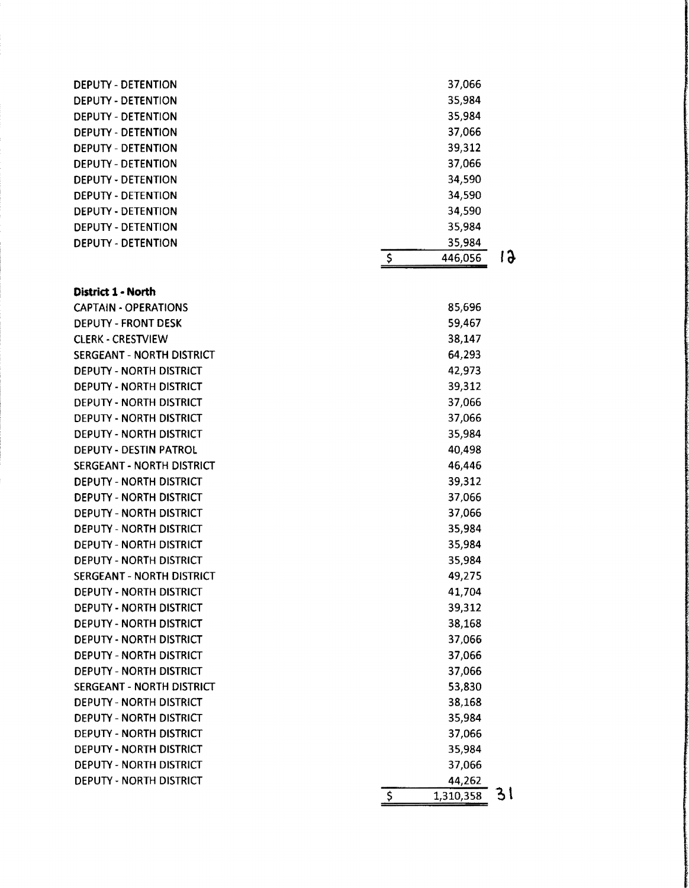| <b>DEPUTY - DETENTION</b> | 37,066  |                    |
|---------------------------|---------|--------------------|
| <b>DEPUTY - DETENTION</b> | 35,984  |                    |
| DEPUTY - DETENTION        | 35,984  |                    |
| DEPUTY - DETENTION        | 37,066  |                    |
| <b>DEPUTY - DETENTION</b> | 39,312  |                    |
| <b>DEPUTY - DETENTION</b> | 37,066  |                    |
| <b>DEPUTY - DETENTION</b> | 34,590  |                    |
| <b>DEPUTY - DETENTION</b> | 34,590  |                    |
| <b>DEPUTY - DETENTION</b> | 34,590  |                    |
| <b>DEPUTY - DETENTION</b> | 35,984  |                    |
| <b>DEPUTY - DETENTION</b> | 35,984  |                    |
|                           | 446,056 | $\mathbf{\hat{a}}$ |

**District 1 • North** 

| <b>CAPTAIN - OPERATIONS</b>      | 85,696          |    |
|----------------------------------|-----------------|----|
| <b>DEPUTY - FRONT DESK</b>       | 59,467          |    |
| <b>CLERK - CRESTVIEW</b>         | 38,147          |    |
| <b>SERGEANT - NORTH DISTRICT</b> | 64,293          |    |
| <b>DEPUTY - NORTH DISTRICT</b>   | 42,973          |    |
| DEPUTY - NORTH DISTRICT          | 39,312          |    |
| DEPUTY - NORTH DISTRICT          | 37,066          |    |
| DEPUTY - NORTH DISTRICT          | 37,066          |    |
| DEPUTY - NORTH DISTRICT          | 35,984          |    |
| <b>DEPUTY - DESTIN PATROL</b>    | 40,498          |    |
| SERGEANT - NORTH DISTRICT        | 46,446          |    |
| <b>DEPUTY - NORTH DISTRICT</b>   | 39,312          |    |
| <b>DEPUTY - NORTH DISTRICT</b>   | 37,066          |    |
| DEPUTY - NORTH DISTRICT          | 37,066          |    |
| <b>DEPUTY - NORTH DISTRICT</b>   | 35,984          |    |
| <b>DEPUTY - NORTH DISTRICT</b>   | 35,984          |    |
| DEPUTY - NORTH DISTRICT          | 35,984          |    |
| <b>SERGEANT - NORTH DISTRICT</b> | 49,275          |    |
| <b>DEPUTY - NORTH DISTRICT</b>   | 41,704          |    |
| <b>DEPUTY - NORTH DISTRICT</b>   | 39,312          |    |
| <b>DEPUTY - NORTH DISTRICT</b>   | 38,168          |    |
| <b>DEPUTY - NORTH DISTRICT</b>   | 37,066          |    |
| <b>DEPUTY - NORTH DISTRICT</b>   | 37,066          |    |
| <b>DEPUTY - NORTH DISTRICT</b>   | 37,066          |    |
| SERGEANT - NORTH DISTRICT        | 53,830          |    |
| <b>DEPUTY - NORTH DISTRICT</b>   | 38,168          |    |
| <b>DEPUTY - NORTH DISTRICT</b>   | 35,984          |    |
| DEPUTY - NORTH DISTRICT          | 37,066          |    |
| DEPUTY - NORTH DISTRICT          | 35,984          |    |
| <b>DEPUTY - NORTH DISTRICT</b>   | 37,066          |    |
| <b>DEPUTY - NORTH DISTRICT</b>   | 44,262          |    |
|                                  | \$<br>1,310,358 | 31 |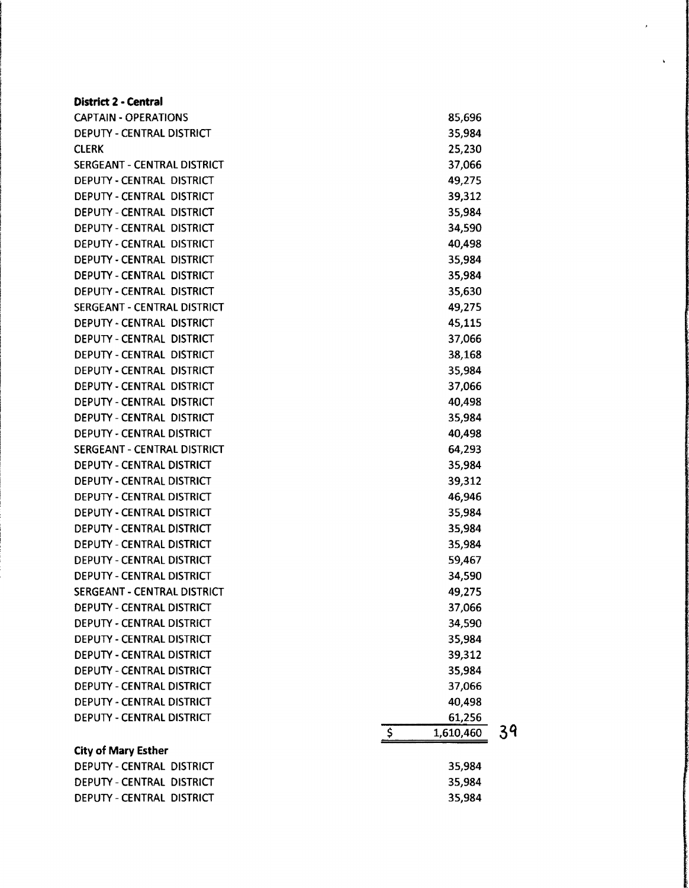| <b>District 2 - Central</b>      |              |           |    |
|----------------------------------|--------------|-----------|----|
| <b>CAPTAIN - OPERATIONS</b>      |              | 85,696    |    |
| DEPUTY - CENTRAL DISTRICT        |              | 35,984    |    |
| <b>CLERK</b>                     |              | 25,230    |    |
| SERGEANT - CENTRAL DISTRICT      |              | 37,066    |    |
| DEPUTY - CENTRAL DISTRICT        |              | 49,275    |    |
| DEPUTY - CENTRAL DISTRICT        |              | 39,312    |    |
| DEPUTY - CENTRAL DISTRICT        |              | 35,984    |    |
| DEPUTY - CENTRAL DISTRICT        |              | 34,590    |    |
| DEPUTY - CENTRAL DISTRICT        |              | 40,498    |    |
| DEPUTY - CENTRAL DISTRICT        |              | 35,984    |    |
| DEPUTY - CENTRAL DISTRICT        |              | 35,984    |    |
| DEPUTY - CENTRAL DISTRICT        |              | 35,630    |    |
| SERGEANT - CENTRAL DISTRICT      |              | 49,275    |    |
| DEPUTY - CENTRAL DISTRICT        |              | 45,115    |    |
| DEPUTY - CENTRAL DISTRICT        |              | 37,066    |    |
| DEPUTY - CENTRAL DISTRICT        |              | 38,168    |    |
| DEPUTY - CENTRAL DISTRICT        |              | 35,984    |    |
| DEPUTY - CENTRAL DISTRICT        |              | 37,066    |    |
| DEPUTY - CENTRAL DISTRICT        |              | 40,498    |    |
| DEPUTY - CENTRAL DISTRICT        |              | 35,984    |    |
| DEPUTY - CENTRAL DISTRICT        |              | 40,498    |    |
| SERGEANT - CENTRAL DISTRICT      |              | 64,293    |    |
| DEPUTY - CENTRAL DISTRICT        |              | 35,984    |    |
| <b>DEPUTY - CENTRAL DISTRICT</b> |              | 39,312    |    |
| DEPUTY - CENTRAL DISTRICT        |              | 46,946    |    |
| DEPUTY - CENTRAL DISTRICT        |              | 35,984    |    |
| DEPUTY - CENTRAL DISTRICT        |              | 35,984    |    |
| <b>DEPUTY - CENTRAL DISTRICT</b> |              | 35,984    |    |
| <b>DEPUTY - CENTRAL DISTRICT</b> |              | 59,467    |    |
| <b>DEPUTY - CENTRAL DISTRICT</b> |              | 34,590    |    |
| SERGEANT - CENTRAL DISTRICT      |              | 49,275    |    |
| DEPUTY - CENTRAL DISTRICT        |              | 37,066    |    |
| DEPUTY - CENTRAL DISTRICT        |              | 34,590    |    |
| DEPUTY - CENTRAL DISTRICT        |              | 35,984    |    |
| DEPUTY - CENTRAL DISTRICT        |              | 39,312    |    |
| DEPUTY - CENTRAL DISTRICT        |              | 35,984    |    |
| DEPUTY - CENTRAL DISTRICT        |              | 37,066    |    |
| <b>DEPUTY - CENTRAL DISTRICT</b> |              | 40,498    |    |
| DEPUTY - CENTRAL DISTRICT        |              | 61,256    |    |
|                                  | $\mathsf{S}$ | 1,610,460 | 39 |
| <b>City of Mary Esther</b>       |              |           |    |
| DEPUTY - CENTRAL DISTRICT        |              | 35,984    |    |
| DEPUTY - CENTRAL DISTRICT        |              | 35,984    |    |
| DEPUTY - CENTRAL DISTRICT        |              | 35,984    |    |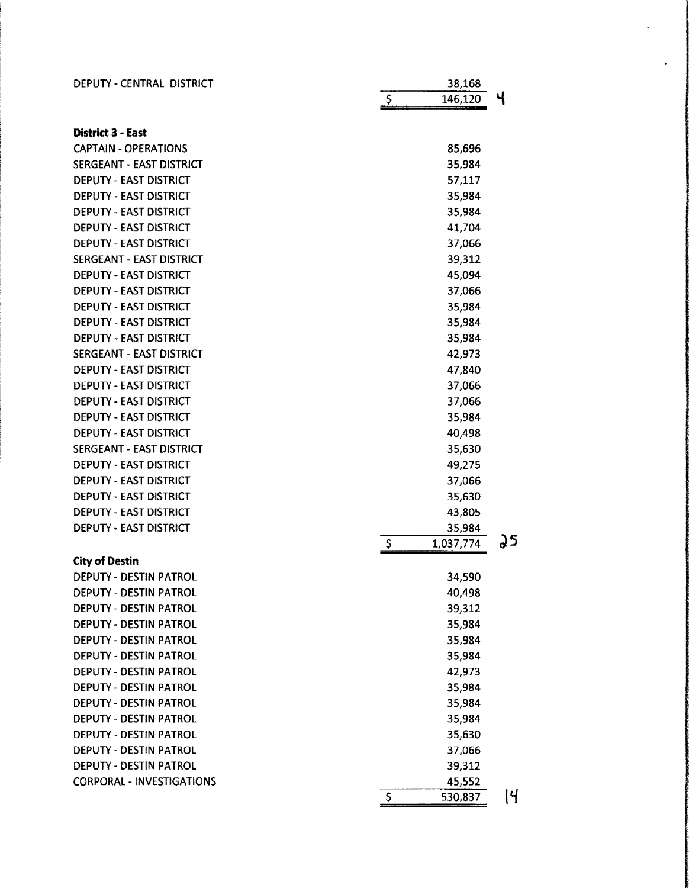| DEPUTY - CENTRAL DISTRICT        | 38,168                     |            |
|----------------------------------|----------------------------|------------|
|                                  | <u>ې</u><br>146,120        | Ч          |
| <b>District 3 - East</b>         |                            |            |
| <b>CAPTAIN - OPERATIONS</b>      | 85,696                     |            |
| SERGEANT - EAST DISTRICT         | 35,984                     |            |
| <b>DEPUTY - EAST DISTRICT</b>    | 57,117                     |            |
| <b>DEPUTY - EAST DISTRICT</b>    | 35,984                     |            |
| <b>DEPUTY - EAST DISTRICT</b>    | 35,984                     |            |
| <b>DEPUTY - EAST DISTRICT</b>    | 41,704                     |            |
| <b>DEPUTY - EAST DISTRICT</b>    | 37,066                     |            |
| SERGEANT - EAST DISTRICT         | 39,312                     |            |
| DEPUTY - EAST DISTRICT           | 45,094                     |            |
| <b>DEPUTY - EAST DISTRICT</b>    | 37,066                     |            |
| <b>DEPUTY - EAST DISTRICT</b>    | 35,984                     |            |
| <b>DEPUTY - EAST DISTRICT</b>    | 35,984                     |            |
| <b>DEPUTY - EAST DISTRICT</b>    | 35,984                     |            |
| <b>SERGEANT - EAST DISTRICT</b>  | 42,973                     |            |
| DEPUTY - EAST DISTRICT           | 47,840                     |            |
| <b>DEPUTY - EAST DISTRICT</b>    | 37,066                     |            |
| DEPUTY - EAST DISTRICT           | 37,066                     |            |
| <b>DEPUTY - EAST DISTRICT</b>    | 35,984                     |            |
| <b>DEPUTY - EAST DISTRICT</b>    | 40,498                     |            |
| <b>SERGEANT - EAST DISTRICT</b>  | 35,630                     |            |
| <b>DEPUTY - EAST DISTRICT</b>    | 49,275                     |            |
| DEPUTY - EAST DISTRICT           | 37,066                     |            |
| <b>DEPUTY - EAST DISTRICT</b>    | 35,630                     |            |
| <b>DEPUTY - EAST DISTRICT</b>    | 43,805                     |            |
| <b>DEPUTY - EAST DISTRICT</b>    | 35,984                     |            |
|                                  | $\frac{1}{2}$<br>1,037,774 | วร         |
| <b>City of Destin</b>            |                            |            |
| <b>DEPUTY - DESTIN PATROL</b>    | 34,590                     |            |
| DEPUTY - DESTIN PATROL           | 40,498                     |            |
| DEPUTY - DESTIN PATROL           | 39,312                     |            |
| DEPUTY - DESTIN PATROL           | 35,984                     |            |
| DEPUTY - DESTIN PATROL           | 35,984                     |            |
| DEPUTY - DESTIN PATROL           | 35,984                     |            |
| DEPUTY - DESTIN PATROL           | 42,973                     |            |
| <b>DEPUTY - DESTIN PATROL</b>    | 35,984                     |            |
| DEPUTY - DESTIN PATROL           | 35,984                     |            |
| <b>DEPUTY - DESTIN PATROL</b>    | 35,984                     |            |
| <b>DEPUTY - DESTIN PATROL</b>    | 35,630                     |            |
| DEPUTY - DESTIN PATROL           | 37,066                     |            |
| DEPUTY - DESTIN PATROL           | 39,312                     |            |
| <b>CORPORAL - INVESTIGATIONS</b> | 45,552                     |            |
|                                  | \$<br>530,837              | <u> </u> 4 |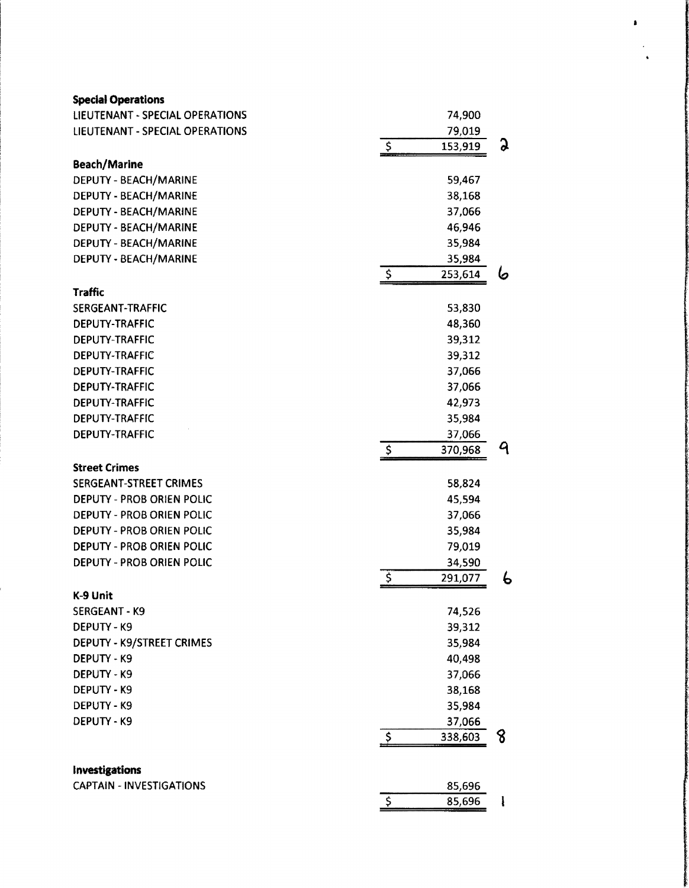| <b>Special Operations</b>              |                                    |   |
|----------------------------------------|------------------------------------|---|
| <b>LIEUTENANT - SPECIAL OPERATIONS</b> | 74,900                             |   |
| LIEUTENANT - SPECIAL OPERATIONS        | 79,019                             |   |
|                                        | $\overline{5}$<br>153,919          | G |
| <b>Beach/Marine</b>                    |                                    |   |
| DEPUTY - BEACH/MARINE                  | 59,467                             |   |
| DEPUTY - BEACH/MARINE                  | 38,168                             |   |
| DEPUTY - BEACH/MARINE                  | 37,066                             |   |
| DEPUTY - BEACH/MARINE                  | 46,946                             |   |
| DEPUTY - BEACH/MARINE                  | 35,984                             |   |
| DEPUTY - BEACH/MARINE                  | 35,984                             |   |
|                                        | $\zeta$<br>253,614                 | 6 |
| <b>Traffic</b>                         |                                    |   |
| SERGEANT-TRAFFIC                       | 53,830                             |   |
| <b>DEPUTY-TRAFFIC</b>                  | 48,360                             |   |
| DEPUTY-TRAFFIC                         | 39,312                             |   |
| DEPUTY-TRAFFIC                         | 39,312                             |   |
| DEPUTY-TRAFFIC                         | 37,066                             |   |
| <b>DEPUTY-TRAFFIC</b>                  | 37,066                             |   |
| <b>DEPUTY-TRAFFIC</b>                  | 42,973                             |   |
| <b>DEPUTY-TRAFFIC</b>                  | 35,984                             |   |
| DEPUTY-TRAFFIC                         | 37,066                             |   |
|                                        | $\ddot{\mathsf{S}}$<br>370,968     | 9 |
| <b>Street Crimes</b>                   |                                    |   |
| SERGEANT-STREET CRIMES                 | 58,824                             |   |
| DEPUTY - PROB ORIEN POLIC              | 45,594                             |   |
| DEPUTY - PROB ORIEN POLIC              | 37,066                             |   |
| <b>DEPUTY - PROB ORIEN POLIC</b>       | 35,984                             |   |
| <b>DEPUTY - PROB ORIEN POLIC</b>       | 79,019                             |   |
| DEPUTY - PROB ORIEN POLIC              | 34,590                             |   |
|                                        | $\overline{\mathsf{S}}$<br>291,077 | 6 |
| K-9 Unit                               |                                    |   |
| <b>SERGEANT - K9</b>                   | 74,526                             |   |
| DEPUTY - K9                            | 39,312                             |   |
| <b>DEPUTY - K9/STREET CRIMES</b>       | 35,984                             |   |
| DEPUTY - K9                            | 40,498                             |   |
| DEPUTY - K9                            | 37,066                             |   |
| <b>DEPUTY - K9</b>                     | 38,168                             |   |
| DEPUTY - K9                            | 35,984                             |   |
| DEPUTY - K9                            | 37,066                             |   |
|                                        | $\ddot{\bm{\zeta}}$<br>338,603     | 8 |
| Investigations                         |                                    |   |
| <b>CAPTAIN - INVESTIGATIONS</b>        | 85,696                             |   |
|                                        | \$<br>85,696                       |   |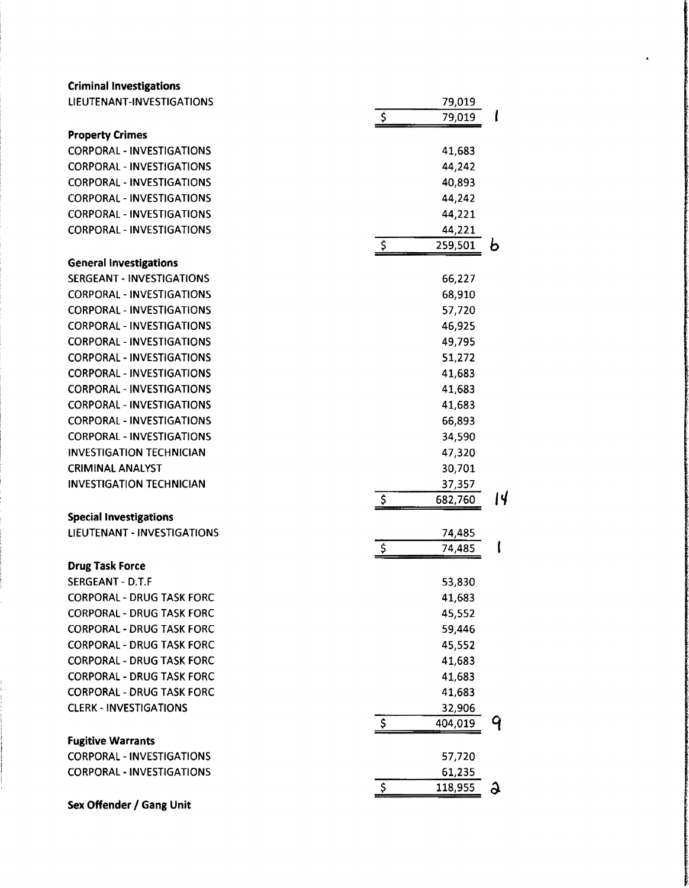| <b>Criminal Investigations</b>   |             |         |    |
|----------------------------------|-------------|---------|----|
| LIEUTENANT-INVESTIGATIONS        |             | 79,019  |    |
|                                  | $\varsigma$ | 79,019  |    |
| <b>Property Crimes</b>           |             |         |    |
| <b>CORPORAL - INVESTIGATIONS</b> |             | 41,683  |    |
| <b>CORPORAL - INVESTIGATIONS</b> |             | 44,242  |    |
| <b>CORPORAL - INVESTIGATIONS</b> |             | 40,893  |    |
| <b>CORPORAL - INVESTIGATIONS</b> |             | 44,242  |    |
| <b>CORPORAL - INVESTIGATIONS</b> |             | 44,221  |    |
| <b>CORPORAL - INVESTIGATIONS</b> |             | 44,221  |    |
|                                  | \$          | 259,501 | Đ  |
| <b>General Investigations</b>    |             |         |    |
| <b>SERGEANT - INVESTIGATIONS</b> |             | 66,227  |    |
| <b>CORPORAL - INVESTIGATIONS</b> |             | 68,910  |    |
| <b>CORPORAL - INVESTIGATIONS</b> |             | 57,720  |    |
| <b>CORPORAL - INVESTIGATIONS</b> |             | 46,925  |    |
| <b>CORPORAL - INVESTIGATIONS</b> |             | 49,795  |    |
| <b>CORPORAL - INVESTIGATIONS</b> |             | 51,272  |    |
| <b>CORPORAL - INVESTIGATIONS</b> |             | 41,683  |    |
| <b>CORPORAL - INVESTIGATIONS</b> |             |         |    |
| <b>CORPORAL - INVESTIGATIONS</b> |             | 41,683  |    |
|                                  |             | 41,683  |    |
| <b>CORPORAL - INVESTIGATIONS</b> |             | 66,893  |    |
| <b>CORPORAL - INVESTIGATIONS</b> |             | 34,590  |    |
| <b>INVESTIGATION TECHNICIAN</b>  |             | 47,320  |    |
| <b>CRIMINAL ANALYST</b>          |             | 30,701  |    |
| <b>INVESTIGATION TECHNICIAN</b>  |             | 37,357  |    |
|                                  | \$          | 682,760 | 14 |
| <b>Special Investigations</b>    |             |         |    |
| LIEUTENANT - INVESTIGATIONS      |             | 74,485  |    |
|                                  | \$          | 74,485  |    |
| <b>Drug Task Force</b>           |             |         |    |
| SERGEANT - D.T.F                 |             | 53,830  |    |
| <b>CORPORAL - DRUG TASK FORC</b> |             | 41,683  |    |
| <b>CORPORAL - DRUG TASK FORC</b> |             | 45,552  |    |
| <b>CORPORAL - DRUG TASK FORC</b> |             | 59,446  |    |
| <b>CORPORAL - DRUG TASK FORC</b> |             | 45,552  |    |
| <b>CORPORAL - DRUG TASK FORC</b> |             | 41,683  |    |
| <b>CORPORAL - DRUG TASK FORC</b> |             | 41,683  |    |
| <b>CORPORAL - DRUG TASK FORC</b> |             | 41,683  |    |
| <b>CLERK - INVESTIGATIONS</b>    |             | 32,906  |    |
|                                  | \$          | 404,019 | 9  |
| <b>Fugitive Warrants</b>         |             |         |    |
| <b>CORPORAL - INVESTIGATIONS</b> |             | 57,720  |    |
| <b>CORPORAL - INVESTIGATIONS</b> |             | 61,235  |    |
|                                  | \$          | 118,955 | G  |
| Sex Offender / Gang Unit         |             |         |    |
|                                  |             |         |    |